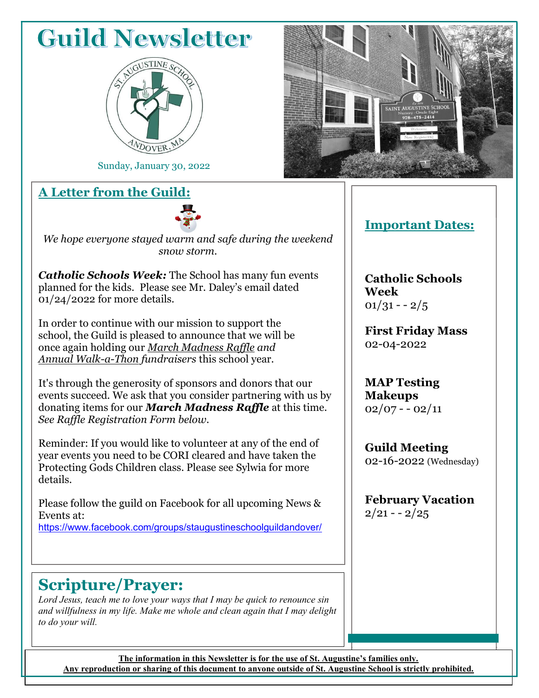## **Guild Newsletter**



Sunday, January 30, 2022

#### A Letter from the Guild:



We hope everyone stayed warm and safe during the weekend snow storm.

**Catholic Schools Week:** The School has many fun events planned for the kids. Please see Mr. Daley's email dated 01/24/2022 for more details.

In order to continue with our mission to support the school, the Guild is pleased to announce that we will be once again holding our March Madness Raffle and Annual Walk-a-Thon fundraisers this school year.

It's through the generosity of sponsors and donors that our events succeed. We ask that you consider partnering with us by donating items for our **March Madness Raffle** at this time. See Raffle Registration Form below.

Reminder: If you would like to volunteer at any of the end of year events you need to be CORI cleared and have taken the Protecting Gods Children class. Please see Sylwia for more details.

Please follow the guild on Facebook for all upcoming News & Events at: https://www.facebook.com/groups/staugustineschoolguildandover/

#### Scripture/Prayer:

Lord Jesus, teach me to love your ways that I may be quick to renounce sin and willfulness in my life. Make me whole and clean again that I may delight to do your will.



#### Important Dates:

Catholic Schools Week  $01/31 - -2/5$ 

First Friday Mass 02-04-2022

MAP Testing Makeups  $02/07 - 02/11$ 

Guild Meeting 02-16-2022 (Wednesday)

February Vacation  $2/21 - -2/25$ 

The information in this Newsletter is for the use of St. Augustine's families only. Any reproduction or sharing of this document to anyone outside of St. Augustine School is strictly prohibited.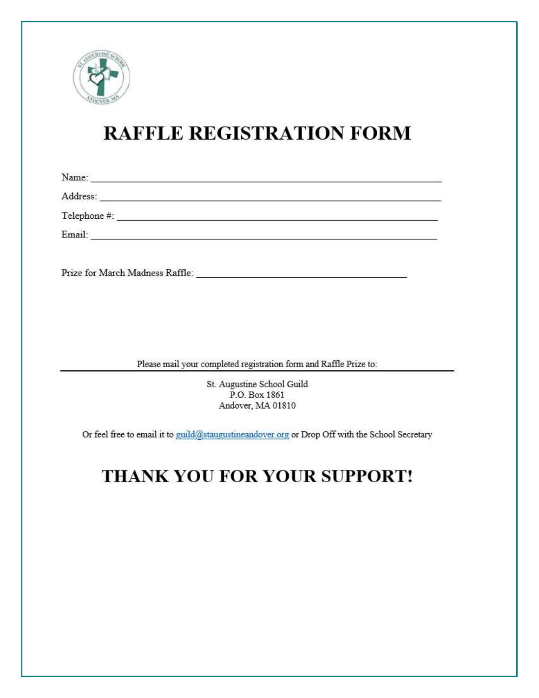

## **RAFFLE REGISTRATION FORM**

| Name:                                                                                                                       |  |
|-----------------------------------------------------------------------------------------------------------------------------|--|
| Address:<br>and the state of the state of the state of the state of the state of the state of the state of the state of the |  |
| Telephone #:                                                                                                                |  |
| Email:                                                                                                                      |  |
|                                                                                                                             |  |
| Prize for March Madness Raffle:                                                                                             |  |

Please mail your completed registration form and Raffle Prize to:

St. Augustine School Guild P.O. Box 1861 Andover, MA 01810

Or feel free to email it to guild@staugustineandover.org or Drop Off with the School Secretary

### THANK YOU FOR YOUR SUPPORT!